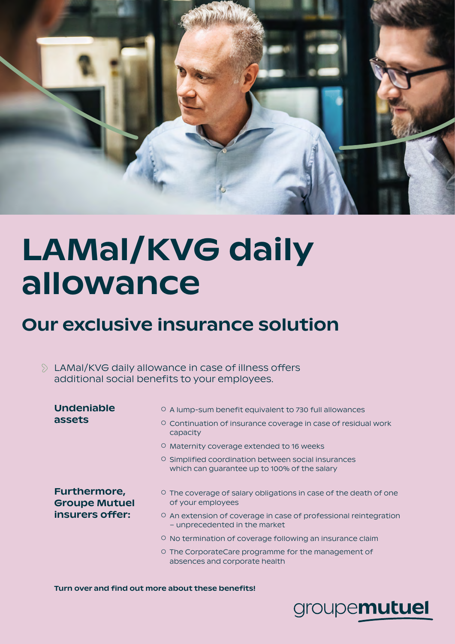

# LAMal/KVG daily allowance

# Our exclusive insurance solution

LAMal/KVG daily allowance in case of illness offers additional social benefits to your employees.

| <b>Undeniable</b><br>assets                                    | ○ A lump-sum benefit equivalent to 730 full allowances<br>Continuation of insurance coverage in case of residual work<br>O.<br>capacity |
|----------------------------------------------------------------|-----------------------------------------------------------------------------------------------------------------------------------------|
|                                                                | <sup>O</sup> Maternity coverage extended to 16 weeks                                                                                    |
|                                                                | O Simplified coordination between social insurances<br>which can guarantee up to 100% of the salary                                     |
| <b>Furthermore,</b><br><b>Groupe Mutuel</b><br>insurers offer: | $\circ$ The coverage of salary obligations in case of the death of one<br>of your employees                                             |
|                                                                | O An extension of coverage in case of professional reintegration<br>- unprecedented in the market                                       |
|                                                                | O No termination of coverage following an insurance claim                                                                               |
|                                                                | ○ The CorporateCare programme for the management of<br>absences and corporate health                                                    |
|                                                                |                                                                                                                                         |

Turn over and find out more about these benefits!